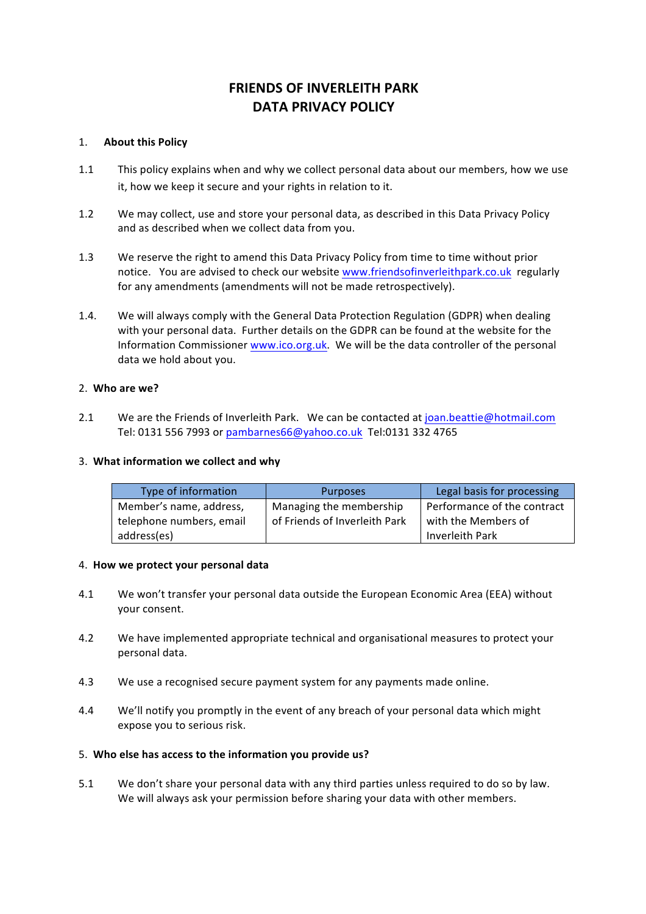# **FRIENDS OF INVERLEITH PARK DATA PRIVACY POLICY**

## 1. **About this Policy**

- 1.1 This policy explains when and why we collect personal data about our members, how we use it, how we keep it secure and your rights in relation to it.
- 1.2 We may collect, use and store your personal data, as described in this Data Privacy Policy and as described when we collect data from you.
- 1.3 We reserve the right to amend this Data Privacy Policy from time to time without prior notice. You are advised to check our website www.friendsofinverleithpark.co.uk regularly for any amendments (amendments will not be made retrospectively).
- 1.4. We will always comply with the General Data Protection Regulation (GDPR) when dealing with your personal data. Further details on the GDPR can be found at the website for the Information Commissioner www.ico.org.uk. We will be the data controller of the personal data we hold about you.

# 2. **Who are we?**

2.1 We are the Friends of Inverleith Park. We can be contacted at joan.beattie@hotmail.com Tel: 0131 556 7993 or pambarnes66@yahoo.co.uk Tel:0131 332 4765

## 3. **What information we collect and why**

| Type of information      | <b>Purposes</b>               | Legal basis for processing  |
|--------------------------|-------------------------------|-----------------------------|
| Member's name, address,  | Managing the membership       | Performance of the contract |
| telephone numbers, email | of Friends of Inverleith Park | with the Members of         |
| address(es)              |                               | Inverleith Park             |

## 4. **How we protect your personal data**

- 4.1 We won't transfer your personal data outside the European Economic Area (EEA) without your consent.
- 4.2 We have implemented appropriate technical and organisational measures to protect your personal data.
- 4.3 We use a recognised secure payment system for any payments made online.
- 4.4 We'll notify you promptly in the event of any breach of your personal data which might expose you to serious risk.

## 5. Who else has access to the information you provide us?

5.1 We don't share your personal data with any third parties unless required to do so by law. We will always ask your permission before sharing your data with other members.